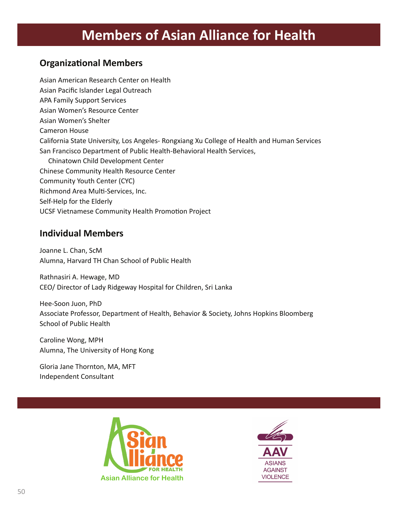# **Members of Asian Alliance for Health**

### **Organizational Members**

Asian American Research Center on Health Asian Pacific Islander Legal Outreach APA Family Support Services Asian Women's Resource Center Asian Women's Shelter Cameron House California State University, Los Angeles- Rongxiang Xu College of Health and Human Services San Francisco Department of Public Health-Behavioral Health Services, Chinatown Child Development Center Chinese Community Health Resource Center Community Youth Center (CYC) Richmond Area Multi-Services, Inc. Self-Help for the Elderly UCSF Vietnamese Community Health Promotion Project

### **Individual Members**

Joanne L. Chan, ScM Alumna, Harvard TH Chan School of Public Health

Rathnasiri A. Hewage, MD CEO/ Director of Lady Ridgeway Hospital for Children, Sri Lanka

Hee-Soon Juon, PhD Associate Professor, Department of Health, Behavior & Society, Johns Hopkins Bloomberg School of Public Health

Caroline Wong, MPH Alumna, The University of Hong Kong

Gloria Jane Thornton, MA, MFT Independent Consultant



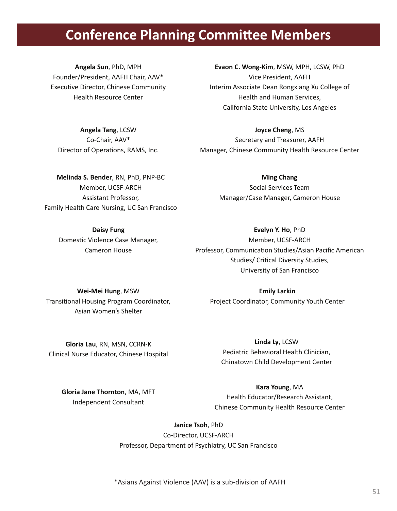## **Conference Planning Committee Members**

**Angela Sun**, PhD, MPH Founder/President, AAFH Chair, AAV\* Executive Director, Chinese Community Health Resource Center

**Evaon C. Wong-Kim**, MSW, MPH, LCSW, PhD Vice President, AAFH Interim Associate Dean Rongxiang Xu College of Health and Human Services, California State University, Los Angeles

**Angela Tang**, LCSW Co-Chair, AAV\* Director of Operations, RAMS, Inc.

**Joyce Cheng**, MS Secretary and Treasurer, AAFH Manager, Chinese Community Health Resource Center

**Melinda S. Bender**, RN, PhD, PNP-BC Member, UCSF-ARCH Assistant Professor, Family Health Care Nursing, UC San Francisco

**Ming Chang** Social Services Team Manager/Case Manager, Cameron House

**Daisy Fung** Domestic Violence Case Manager, Cameron House

**Evelyn Y. Ho**, PhD Member, UCSF-ARCH Professor, Communication Studies/Asian Pacific American Studies/ Critical Diversity Studies, University of San Francisco

**Wei-Mei Hung**, MSW Transitional Housing Program Coordinator, Asian Women's Shelter

**Emily Larkin** Project Coordinator, Community Youth Center

**Gloria Lau**, RN, MSN, CCRN-K Clinical Nurse Educator, Chinese Hospital

> **Gloria Jane Thornton**, MA, MFT Independent Consultant

### **Linda Ly**, LCSW

Pediatric Behavioral Health Clinician, Chinatown Child Development Center

#### **Kara Young**, MA

Health Educator/Research Assistant, Chinese Community Health Resource Center

#### **Janice Tsoh**, PhD

Co-Director, UCSF-ARCH Professor, Department of Psychiatry, UC San Francisco

\*Asians Against Violence (AAV) is a sub-division of AAFH